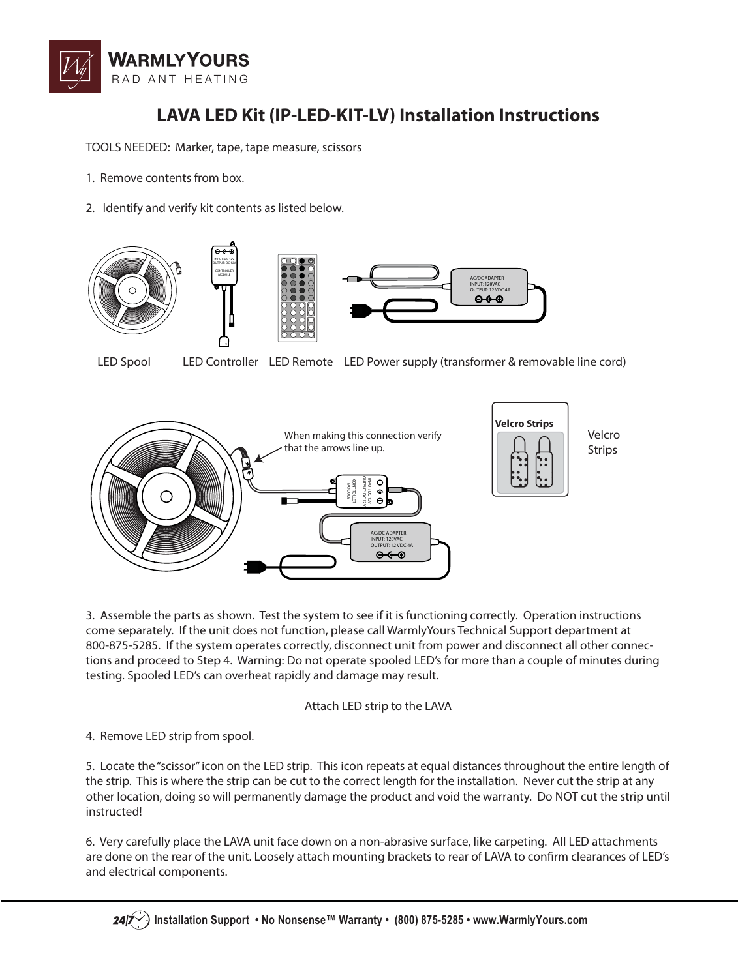

## **LAVA LED Kit (IP-LED-KIT-LV) Installation Instructions**

TOOLS NEEDED: Marker, tape, tape measure, scissors

- 1. Remove contents from box.
- 2. Identify and verify kit contents as listed below.



LED Spool LED Controller LED Remote LED Power supply (transformer & removable line cord)



Velcro Strips



3. Assemble the parts as shown. Test the system to see if it is functioning correctly. Operation instructions come separately. If the unit does not function, please call WarmlyYours Technical Support department at 800-875-5285. If the system operates correctly, disconnect unit from power and disconnect all other connections and proceed to Step 4. Warning: Do not operate spooled LED's for more than a couple of minutes during testing. Spooled LED's can overheat rapidly and damage may result.

## Attach LED strip to the LAVA

4. Remove LED strip from spool.

5. Locate the "scissor" icon on the LED strip. This icon repeats at equal distances throughout the entire length of the strip. This is where the strip can be cut to the correct length for the installation. Never cut the strip at any other location, doing so will permanently damage the product and void the warranty. Do NOT cut the strip until instructed!

6. Very carefully place the LAVA unit face down on a non-abrasive surface, like carpeting. All LED attachments are done on the rear of the unit. Loosely attach mounting brackets to rear of LAVA to confirm clearances of LED's and electrical components.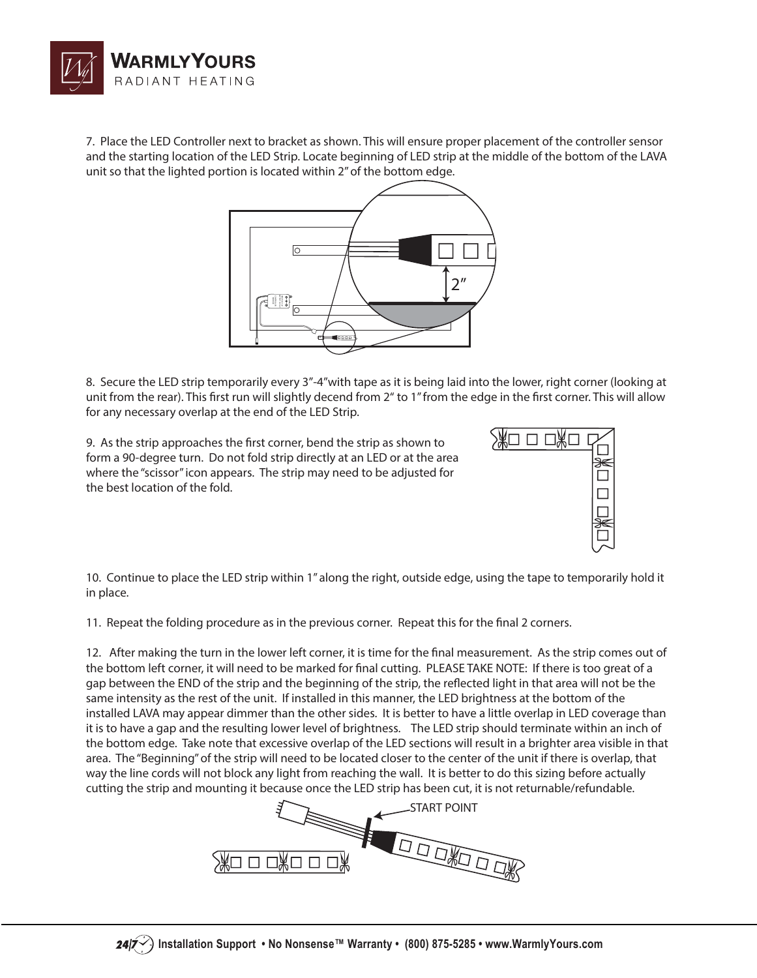

7. Place the LED Controller next to bracket as shown. This will ensure proper placement of the controller sensor and the starting location of the LED Strip. Locate beginning of LED strip at the middle of the bottom of the LAVA unit so that the lighted portion is located within 2" of the bottom edge.



8. Secure the LED strip temporarily every 3"-4"with tape as it is being laid into the lower, right corner (looking at unit from the rear). This first run will slightly decend from 2" to 1" from the edge in the first corner. This will allow for any necessary overlap at the end of the LED Strip.

9. As the strip approaches the first corner, bend the strip as shown to form a 90-degree turn. Do not fold strip directly at an LED or at the area where the "scissor" icon appears. The strip may need to be adjusted for the best location of the fold.



10. Continue to place the LED strip within 1" along the right, outside edge, using the tape to temporarily hold it in place.

11. Repeat the folding procedure as in the previous corner. Repeat this for the final 2 corners.

12. After making the turn in the lower left corner, it is time for the final measurement. As the strip comes out of the bottom left corner, it will need to be marked for final cutting. PLEASE TAKE NOTE: If there is too great of a gap between the END of the strip and the beginning of the strip, the reflected light in that area will not be the same intensity as the rest of the unit. If installed in this manner, the LED brightness at the bottom of the installed LAVA may appear dimmer than the other sides. It is better to have a little overlap in LED coverage than it is to have a gap and the resulting lower level of brightness. The LED strip should terminate within an inch of the bottom edge. Take note that excessive overlap of the LED sections will result in a brighter area visible in that area. The "Beginning" of the strip will need to be located closer to the center of the unit if there is overlap, that way the line cords will not block any light from reaching the wall. It is better to do this sizing before actually cutting the strip and mounting it because once the LED strip has been cut, it is not returnable/refundable.

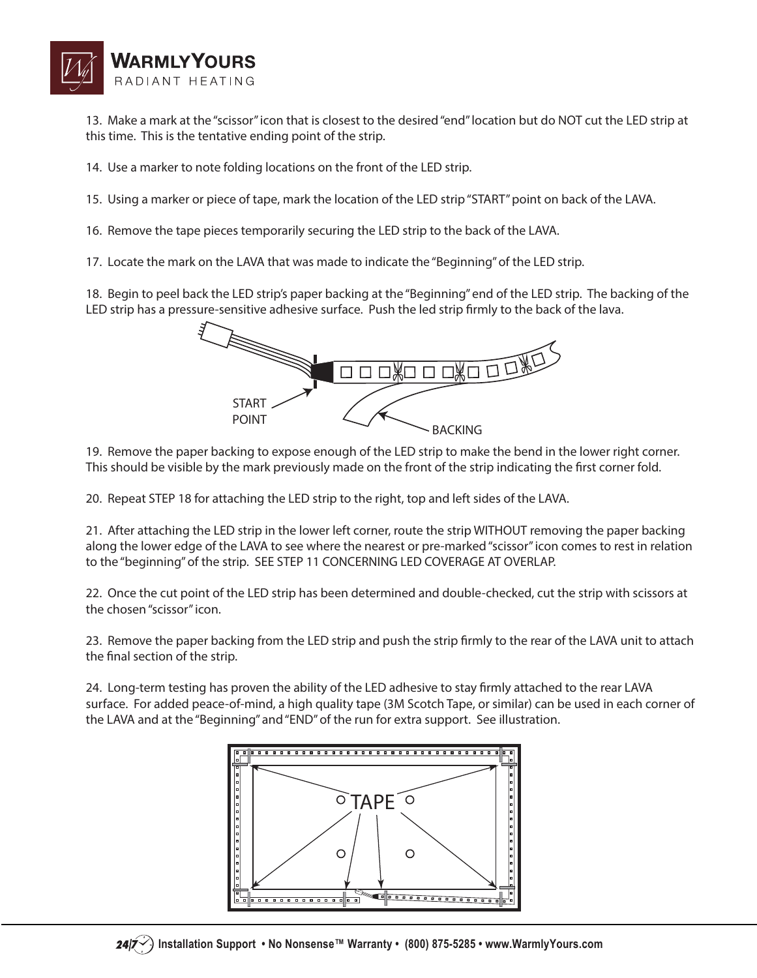

13. Make a mark at the "scissor" icon that is closest to the desired "end" location but do NOT cut the LED strip at this time. This is the tentative ending point of the strip.

14. Use a marker to note folding locations on the front of the LED strip.

15. Using a marker or piece of tape, mark the location of the LED strip "START" point on back of the LAVA.

16. Remove the tape pieces temporarily securing the LED strip to the back of the LAVA.

17. Locate the mark on the LAVA that was made to indicate the "Beginning" of the LED strip.

18. Begin to peel back the LED strip's paper backing at the "Beginning" end of the LED strip. The backing of the LED strip has a pressure-sensitive adhesive surface. Push the led strip firmly to the back of the lava.



19. Remove the paper backing to expose enough of the LED strip to make the bend in the lower right corner. This should be visible by the mark previously made on the front of the strip indicating the first corner fold.

20. Repeat STEP 18 for attaching the LED strip to the right, top and left sides of the LAVA.

21. After attaching the LED strip in the lower left corner, route the strip WITHOUT removing the paper backing along the lower edge of the LAVA to see where the nearest or pre-marked "scissor" icon comes to rest in relation to the "beginning" of the strip. SEE STEP 11 CONCERNING LED COVERAGE AT OVERLAP.

22. Once the cut point of the LED strip has been determined and double-checked, cut the strip with scissors at the chosen "scissor" icon.

23. Remove the paper backing from the LED strip and push the strip firmly to the rear of the LAVA unit to attach the final section of the strip.

24. Long-term testing has proven the ability of the LED adhesive to stay firmly attached to the rear LAVA surface. For added peace-of-mind, a high quality tape (3M Scotch Tape, or similar) can be used in each corner of the LAVA and at the "Beginning" and "END" of the run for extra support. See illustration.